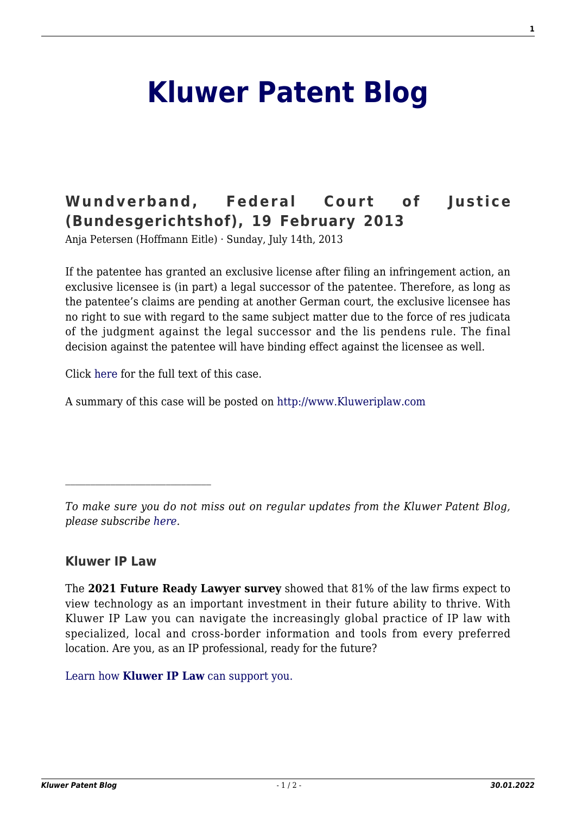## **[Kluwer Patent Blog](http://patentblog.kluweriplaw.com/)**

## **[Wundverband, Federal Court of Justice](http://patentblog.kluweriplaw.com/2013/07/14/wundverband-federal-court-of-justice-bundesgerichtshof-19-february-2013/) [\(Bundesgerichtshof\), 19 February 2013](http://patentblog.kluweriplaw.com/2013/07/14/wundverband-federal-court-of-justice-bundesgerichtshof-19-february-2013/)**

Anja Petersen (Hoffmann Eitle) · Sunday, July 14th, 2013

If the patentee has granted an exclusive license after filing an infringement action, an exclusive licensee is (in part) a legal successor of the patentee. Therefore, as long as the patentee's claims are pending at another German court, the exclusive licensee has no right to sue with regard to the same subject matter due to the force of res judicata of the judgment against the legal successor and the lis pendens rule. The final decision against the patentee will have binding effect against the licensee as well.

Click [here f](http://juris.bundesgerichtshof.de/cgi-bin/rechtsprechung/document.py?Gericht=bgh&Art=en&sid=6be9e04946c616c443388372399837ae&nr=64013&pos=0&anz=1)or the full text of this case.

A summary of this case will be posted on [http://www.Kluweriplaw.com](http://www.kluweriplaw.com/default.aspx)

*To make sure you do not miss out on regular updates from the Kluwer Patent Blog, please subscribe [here.](http://patentblog.kluweriplaw.com/newsletter)*

## **Kluwer IP Law**

 $\mathcal{L}_\text{max}$ 

The **2021 Future Ready Lawyer survey** showed that 81% of the law firms expect to view technology as an important investment in their future ability to thrive. With Kluwer IP Law you can navigate the increasingly global practice of IP law with specialized, local and cross-border information and tools from every preferred location. Are you, as an IP professional, ready for the future?

[Learn how](https://www.wolterskluwer.com/en/solutions/kluweriplaw?utm_source=patentblog&utm_medium=articleCTA&utm_campaign=article-banner) **[Kluwer IP Law](https://www.wolterskluwer.com/en/solutions/kluweriplaw?utm_source=patentblog&utm_medium=articleCTA&utm_campaign=article-banner)** [can support you.](https://www.wolterskluwer.com/en/solutions/kluweriplaw?utm_source=patentblog&utm_medium=articleCTA&utm_campaign=article-banner)